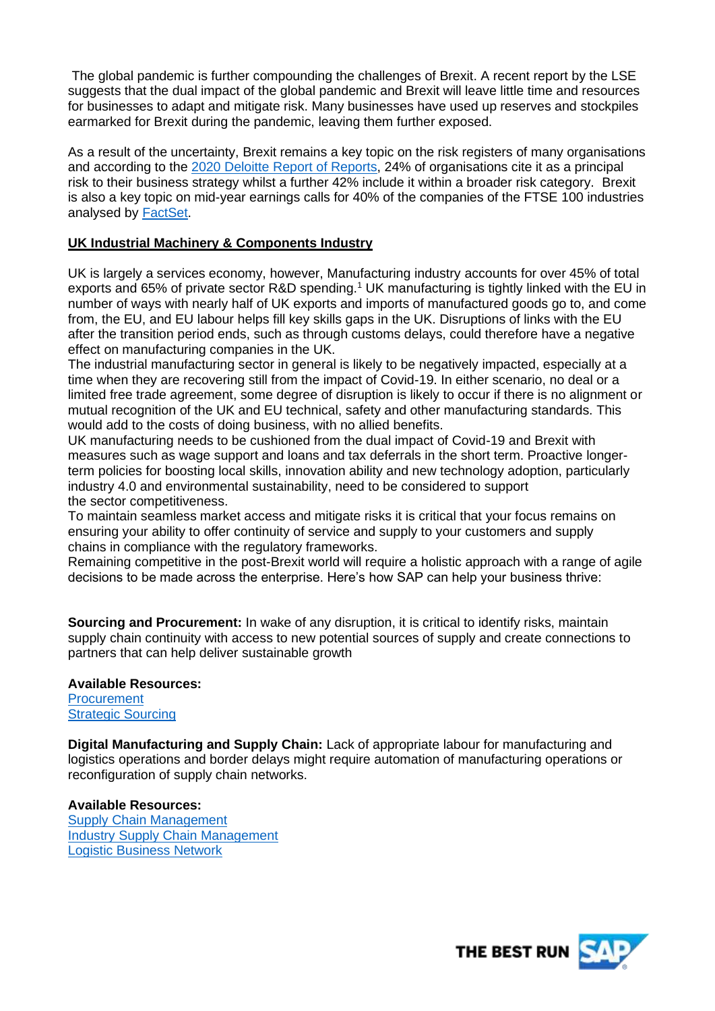The global pandemic is further compounding the challenges of Brexit. A recent report by the LSE suggests that the dual impact of the global pandemic and Brexit will leave little time and resources for businesses to adapt and mitigate risk. Many businesses have used up reserves and stockpiles earmarked for Brexit during the pandemic, leaving them further exposed.

As a result of the uncertainty, Brexit remains a key topic on the risk registers of many organisations and according to the [2020 Deloitte Report of Reports,](https://www2.deloitte.com/uk/en/pages/audit/articles/annual-report-insights-2020.html) 24% of organisations cite it as a principal risk to their business strategy whilst a further 42% include it within a broader risk category. Brexit is also a key topic on mid-year earnings calls for 40% of the companies of the FTSE 100 industries analysed by [FactSet.](https://insight.factset.com/which-uk-industries-will-likely-be-impacted-by-brexit)

## **UK Industrial Machinery & Components Industry**

UK is largely a services economy, however, Manufacturing industry accounts for over 45% of total exports and 65% of private sector R&D spending.<sup>1</sup> UK manufacturing is tightly linked with the EU in number of ways with nearly half of UK exports and imports of manufactured goods go to, and come from, the EU, and EU labour helps fill key skills gaps in the UK. Disruptions of links with the EU after the transition period ends, such as through customs delays, could therefore have a negative effect on manufacturing companies in the UK.

The industrial manufacturing sector in general is likely to be negatively impacted, especially at a time when they are recovering still from the impact of Covid-19. In either scenario, no deal or a limited free trade agreement, some degree of disruption is likely to occur if there is no alignment or mutual recognition of the UK and EU technical, safety and other manufacturing standards. This would add to the costs of doing business, with no allied benefits.

UK manufacturing needs to be cushioned from the dual impact of Covid-19 and Brexit with measures such as wage support and loans and tax deferrals in the short term. Proactive longerterm policies for boosting local skills, innovation ability and new technology adoption, particularly industry 4.0 and environmental sustainability, need to be considered to support the sector competitiveness.

To maintain seamless market access and mitigate risks it is critical that your focus remains on ensuring your ability to offer continuity of service and supply to your customers and supply chains in compliance with the regulatory frameworks.

Remaining competitive in the post-Brexit world will require a holistic approach with a range of agile decisions to be made across the enterprise. Here's how SAP can help your business thrive:

**Sourcing and Procurement:** In wake of any disruption, it is critical to identify risks, maintain supply chain continuity with access to new potential sources of supply and create connections to partners that can help deliver sustainable growth

## **Available Resources:**

**[Procurement](https://www.sap.com/uk/products/e-procurement.html)** [Strategic Sourcing](https://www.ariba.com/solutions/solutions-overview/strategic-sourcing/sap-ariba-discovery)

**Digital Manufacturing and Supply Chain:** Lack of appropriate labour for manufacturing and logistics operations and border delays might require automation of manufacturing operations or reconfiguration of supply chain networks.

**Available Resources:** [Supply Chain Management](https://www.sap.com/uk/products/supply-chain-management.html?url_id=ctabutton-uk-icon-products-iotsc) [Industry Supply Chain Management](https://www.sap.com/uk/products/supply-chain-management/industry-4-0.html) [Logistic Business Network](https://www.sap.com/uk/products/logistics-business-network.html)